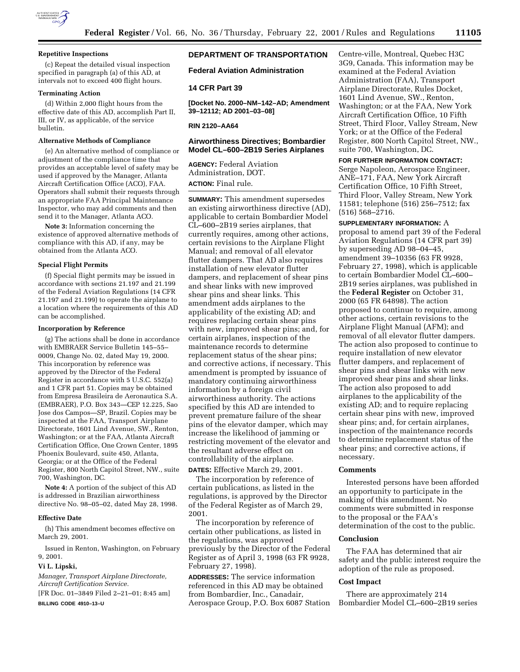

#### **Repetitive Inspections**

(c) Repeat the detailed visual inspection specified in paragraph (a) of this AD, at intervals not to exceed 400 flight hours.

### **Terminating Action**

(d) Within 2,000 flight hours from the effective date of this AD, accomplish Part II, III, or IV, as applicable, of the service bulletin.

### **Alternative Methods of Compliance**

(e) An alternative method of compliance or adjustment of the compliance time that provides an acceptable level of safety may be used if approved by the Manager, Atlanta Aircraft Certification Office (ACO), FAA. Operators shall submit their requests through an appropriate FAA Principal Maintenance Inspector, who may add comments and then send it to the Manager, Atlanta ACO.

**Note 3:** Information concerning the existence of approved alternative methods of compliance with this AD, if any, may be obtained from the Atlanta ACO.

# **Special Flight Permits**

(f) Special flight permits may be issued in accordance with sections 21.197 and 21.199 of the Federal Aviation Regulations (14 CFR 21.197 and 21.199) to operate the airplane to a location where the requirements of this AD can be accomplished.

#### **Incorporation by Reference**

(g) The actions shall be done in accordance with EMBRAER Service Bulletin 145–55– 0009, Change No. 02, dated May 19, 2000. This incorporation by reference was approved by the Director of the Federal Register in accordance with 5 U.S.C. 552(a) and 1 CFR part 51. Copies may be obtained from Empresa Brasileira de Aeronautica S.A. (EMBRAER), P.O. Box 343—CEP 12.225, Sao Jose dos Campos—SP, Brazil. Copies may be inspected at the FAA, Transport Airplane Directorate, 1601 Lind Avenue, SW., Renton, Washington; or at the FAA, Atlanta Aircraft Certification Office, One Crown Center, 1895 Phoenix Boulevard, suite 450, Atlanta, Georgia; or at the Office of the Federal Register, 800 North Capitol Street, NW., suite 700, Washington, DC.

**Note 4:** A portion of the subject of this AD is addressed in Brazilian airworthiness directive No. 98–05–02, dated May 28, 1998.

#### **Effective Date**

(h) This amendment becomes effective on March 29, 2001.

Issued in Renton, Washington, on February 9, 2001.

#### **Vi L. Lipski,**

*Manager, Transport Airplane Directorate, Aircraft Certification Service.*

[FR Doc. 01–3849 Filed 2–21–01; 8:45 am]

**BILLING CODE 4910–13–U**

# **DEPARTMENT OF TRANSPORTATION**

**Federal Aviation Administration**

## **14 CFR Part 39**

**[Docket No. 2000–NM–142–AD; Amendment 39–12112; AD 2001–03–08]**

#### **RIN 2120–AA64**

# **Airworthiness Directives; Bombardier Model CL–600–2B19 Series Airplanes**

**AGENCY:** Federal Aviation Administration, DOT. **ACTION:** Final rule.

**SUMMARY:** This amendment supersedes an existing airworthiness directive (AD), applicable to certain Bombardier Model CL–600–2B19 series airplanes, that currently requires, among other actions, certain revisions to the Airplane Flight Manual; and removal of all elevator flutter dampers. That AD also requires installation of new elevator flutter dampers, and replacement of shear pins and shear links with new improved shear pins and shear links. This amendment adds airplanes to the applicability of the existing AD; and requires replacing certain shear pins with new, improved shear pins; and, for certain airplanes, inspection of the maintenance records to determine replacement status of the shear pins; and corrective actions, if necessary. This amendment is prompted by issuance of mandatory continuing airworthiness information by a foreign civil airworthiness authority. The actions specified by this AD are intended to prevent premature failure of the shear pins of the elevator damper, which may increase the likelihood of jamming or restricting movement of the elevator and the resultant adverse effect on controllability of the airplane.

**DATES:** Effective March 29, 2001.

The incorporation by reference of certain publications, as listed in the regulations, is approved by the Director of the Federal Register as of March 29, 2001.

The incorporation by reference of certain other publications, as listed in the regulations, was approved previously by the Director of the Federal Register as of April 3, 1998 (63 FR 9928, February 27, 1998).

**ADDRESSES:** The service information referenced in this AD may be obtained from Bombardier, Inc., Canadair, Aerospace Group, P.O. Box 6087 Station Centre-ville, Montreal, Quebec H3C 3G9, Canada. This information may be examined at the Federal Aviation Administration (FAA), Transport Airplane Directorate, Rules Docket, 1601 Lind Avenue, SW., Renton, Washington; or at the FAA, New York Aircraft Certification Office, 10 Fifth Street, Third Floor, Valley Stream, New York; or at the Office of the Federal Register, 800 North Capitol Street, NW., suite 700, Washington, DC.

### **FOR FURTHER INFORMATION CONTACT:**

Serge Napoleon, Aerospace Engineer, ANE–171, FAA, New York Aircraft Certification Office, 10 Fifth Street, Third Floor, Valley Stream, New York 11581; telephone (516) 256–7512; fax (516) 568–2716.

**SUPPLEMENTARY INFORMATION:** A proposal to amend part 39 of the Federal Aviation Regulations (14 CFR part 39) by superseding AD 98–04–45, amendment 39–10356 (63 FR 9928, February 27, 1998), which is applicable to certain Bombardier Model CL–600– 2B19 series airplanes, was published in the **Federal Register** on October 31, 2000 (65 FR 64898). The action proposed to continue to require, among other actions, certain revisions to the Airplane Flight Manual (AFM); and removal of all elevator flutter dampers. The action also proposed to continue to require installation of new elevator flutter dampers, and replacement of shear pins and shear links with new improved shear pins and shear links. The action also proposed to add airplanes to the applicability of the existing AD; and to require replacing certain shear pins with new, improved shear pins; and, for certain airplanes, inspection of the maintenance records to determine replacement status of the shear pins; and corrective actions, if necessary.

### **Comments**

Interested persons have been afforded an opportunity to participate in the making of this amendment. No comments were submitted in response to the proposal or the FAA's determination of the cost to the public.

#### **Conclusion**

The FAA has determined that air safety and the public interest require the adoption of the rule as proposed.

## **Cost Impact**

There are approximately 214 Bombardier Model CL–600–2B19 series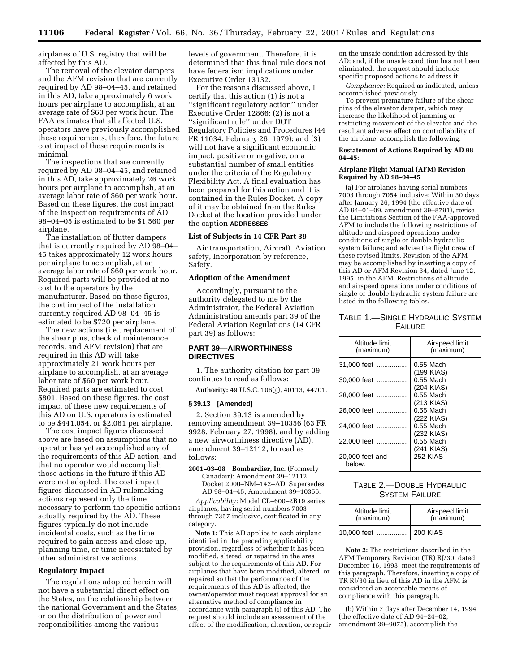airplanes of U.S. registry that will be affected by this AD.

The removal of the elevator dampers and the AFM revision that are currently required by AD 98–04–45, and retained in this AD, take approximately 6 work hours per airplane to accomplish, at an average rate of \$60 per work hour. The FAA estimates that all affected U.S. operators have previously accomplished these requirements, therefore, the future cost impact of these requirements is minimal.

The inspections that are currently required by AD 98–04–45, and retained in this AD, take approximately 26 work hours per airplane to accomplish, at an average labor rate of \$60 per work hour. Based on these figures, the cost impact of the inspection requirements of AD 98–04–05 is estimated to be \$1,560 per airplane.

The installation of flutter dampers that is currently required by AD 98–04– 45 takes approximately 12 work hours per airplane to accomplish, at an average labor rate of \$60 per work hour. Required parts will be provided at no cost to the operators by the manufacturer. Based on these figures, the cost impact of the installation currently required AD 98–04–45 is estimated to be \$720 per airplane.

The new actions (i.e., replacement of the shear pins, check of maintenance records, and AFM revision) that are required in this AD will take approximately 21 work hours per airplane to accomplish, at an average labor rate of \$60 per work hour. Required parts are estimated to cost \$801. Based on these figures, the cost impact of these new requirements of this AD on U.S. operators is estimated to be \$441,054, or \$2,061 per airplane.

The cost impact figures discussed above are based on assumptions that no operator has yet accomplished any of the requirements of this AD action, and that no operator would accomplish those actions in the future if this AD were not adopted. The cost impact figures discussed in AD rulemaking actions represent only the time necessary to perform the specific actions actually required by the AD. These figures typically do not include incidental costs, such as the time required to gain access and close up, planning time, or time necessitated by other administrative actions.

#### **Regulatory Impact**

The regulations adopted herein will not have a substantial direct effect on the States, on the relationship between the national Government and the States, or on the distribution of power and responsibilities among the various

levels of government. Therefore, it is determined that this final rule does not have federalism implications under Executive Order 13132.

For the reasons discussed above, I certify that this action (1) is not a ''significant regulatory action'' under Executive Order 12866; (2) is not a ''significant rule'' under DOT Regulatory Policies and Procedures (44 FR 11034, February 26, 1979); and (3) will not have a significant economic impact, positive or negative, on a substantial number of small entities under the criteria of the Regulatory Flexibility Act. A final evaluation has been prepared for this action and it is contained in the Rules Docket. A copy of it may be obtained from the Rules Docket at the location provided under the caption **ADDRESSES**.

### **List of Subjects in 14 CFR Part 39**

Air transportation, Aircraft, Aviation safety, Incorporation by reference, Safety.

# **Adoption of the Amendment**

Accordingly, pursuant to the authority delegated to me by the Administrator, the Federal Aviation Administration amends part 39 of the Federal Aviation Regulations (14 CFR part 39) as follows:

# **PART 39—AIRWORTHINESS DIRECTIVES**

1. The authority citation for part 39 continues to read as follows:

**Authority:** 49 U.S.C. 106(g), 40113, 44701.

#### **§ 39.13 [Amended]**

2. Section 39.13 is amended by removing amendment 39–10356 (63 FR 9928, February 27, 1998), and by adding a new airworthiness directive (AD), amendment 39–12112, to read as follows:

**2001–03–08 Bombardier, Inc.** (Formerly Canadair): Amendment 39–12112. Docket 2000–NM–142–AD. Supersedes AD 98–04–45, Amendment 39–10356.

*Applicability:* Model CL–600–2B19 series airplanes, having serial numbers 7003 through 7357 inclusive, certificated in any category.

**Note 1:** This AD applies to each airplane identified in the preceding applicability provision, regardless of whether it has been modified, altered, or repaired in the area subject to the requirements of this AD. For airplanes that have been modified, altered, or repaired so that the performance of the requirements of this AD is affected, the owner/operator must request approval for an alternative method of compliance in accordance with paragraph (i) of this AD. The request should include an assessment of the effect of the modification, alteration, or repair on the unsafe condition addressed by this AD; and, if the unsafe condition has not been eliminated, the request should include specific proposed actions to address it.

*Compliance:* Required as indicated, unless accomplished previously.

To prevent premature failure of the shear pins of the elevator damper, which may increase the likelihood of jamming or restricting movement of the elevator and the resultant adverse effect on controllability of the airplane, accomplish the following:

## **Restatement of Actions Required by AD 98– 04–45:**

### **Airplane Flight Manual (AFM) Revision Required by AD 98–04–45**

(a) For airplanes having serial numbers 7003 through 7054 inclusive: Within 30 days after January 26, 1994 (the effective date of AD 94–01–09, amendment 39–8791), revise the Limitations Section of the FAA-approved AFM to include the following restrictions of altitude and airspeed operations under conditions of single or double hydraulic system failure; and advise the flight crew of these revised limits. Revision of the AFM may be accomplished by inserting a copy of this AD or AFM Revision 34, dated June 12, 1995, in the AFM. Restrictions of altitude and airspeed operations under conditions of single or double hydraulic system failure are listed in the following tables.

# TABLE 1.—SINGLE HYDRAULIC SYSTEM **FAILURE**

| Altitude limit<br>(maximum) | Airspeed limit<br>(maximum) |
|-----------------------------|-----------------------------|
| 31,000 feet                 | 0.55 Mach<br>(199 KIAS)     |
| 30,000 feet                 | $0.55$ Mach<br>(204 KIAS)   |
| 28.000 feet                 | $0.55$ Mach<br>$(213$ KIAS) |
| 26,000 feet                 | $0.55$ Mach<br>(222 KIAS)   |
| 24.000 feet                 | $0.55$ Mach<br>(232 KIAS)   |
| 22.000 feet                 | $0.55$ Mach<br>(241 KIAS)   |
| 20,000 feet and<br>below.   | <b>252 KIAS</b>             |

# TABLE 2.—DOUBLE HYDRAULIC SYSTEM FAILURE

| Altitude limit<br>(maximum) | Airspeed limit<br>(maximum) |
|-----------------------------|-----------------------------|
| 10,000 feet    200 KIAS     |                             |

**Note 2:** The restrictions described in the AFM Temporary Revision (TR) RJ/30, dated December 16, 1993, meet the requirements of this paragraph. Therefore, inserting a copy of TR RJ/30 in lieu of this AD in the AFM is considered an acceptable means of compliance with this paragraph.

(b) Within 7 days after December 14, 1994 (the effective date of AD 94–24–02, amendment 39–9075), accomplish the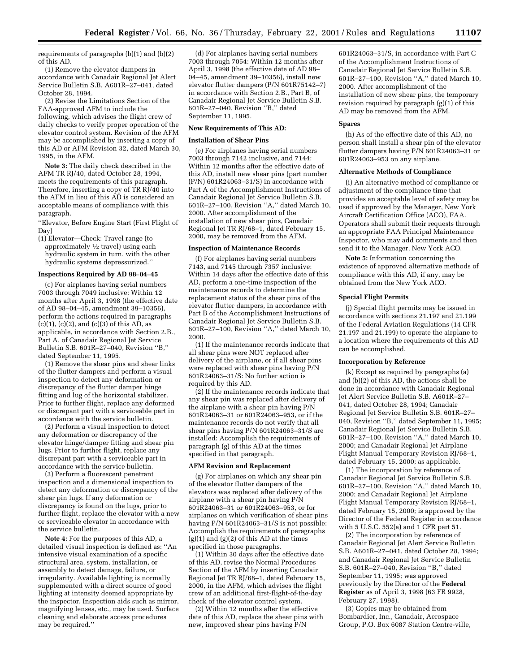requirements of paragraphs (b)(1) and (b)(2) of this AD.

(1) Remove the elevator dampers in accordance with Canadair Regional Jet Alert Service Bulletin S.B. A601R–27–041, dated October 28, 1994.

(2) Revise the Limitations Section of the FAA-approved AFM to include the following, which advises the flight crew of daily checks to verify proper operation of the elevator control system. Revision of the AFM may be accomplished by inserting a copy of this AD or AFM Revision 32, dated March 30, 1995, in the AFM.

**Note 3:** The daily check described in the AFM TR RJ/40, dated October 28, 1994, meets the requirements of this paragraph. Therefore, inserting a copy of TR RJ/40 into the AFM in lieu of this AD is considered an acceptable means of compliance with this paragraph.

''Elevator, Before Engine Start (First Flight of Day)

(1) Elevator—Check: Travel range (to approximately 1⁄2 travel) using each hydraulic system in turn, with the other hydraulic systems depressurized.''

#### **Inspections Required by AD 98–04–45**

(c) For airplanes having serial numbers 7003 through 7049 inclusive: Within 12 months after April 3, 1998 (the effective date of AD 98–04–45, amendment 39–10356), perform the actions required in paragraphs  $(c)(1)$ ,  $(c)(2)$ , and  $(c)(3)$  of this AD, as applicable, in accordance with Section 2.B., Part A, of Canadair Regional Jet Service Bulletin S.B. 601R–27–040, Revision ''B,'' dated September 11, 1995.

(1) Remove the shear pins and shear links of the flutter dampers and perform a visual inspection to detect any deformation or discrepancy of the flutter damper hinge fitting and lug of the horizontal stabilizer. Prior to further flight, replace any deformed or discrepant part with a serviceable part in accordance with the service bulletin.

(2) Perform a visual inspection to detect any deformation or discrepancy of the elevator hinge/damper fitting and shear pin lugs. Prior to further flight, replace any discrepant part with a serviceable part in accordance with the service bulletin.

(3) Perform a fluorescent penetrant inspection and a dimensional inspection to detect any deformation or discrepancy of the shear pin lugs. If any deformation or discrepancy is found on the lugs, prior to further flight, replace the elevator with a new or serviceable elevator in accordance with the service bulletin.

**Note 4:** For the purposes of this AD, a detailed visual inspection is defined as: ''An intensive visual examination of a specific structural area, system, installation, or assembly to detect damage, failure, or irregularity. Available lighting is normally supplemented with a direct source of good lighting at intensity deemed appropriate by the inspector. Inspection aids such as mirror, magnifying lenses, etc., may be used. Surface cleaning and elaborate access procedures may be required.''

(d) For airplanes having serial numbers 7003 through 7054: Within 12 months after April 3, 1998 (the effective date of AD 98– 04–45, amendment 39–10356), install new elevator flutter dampers (P/N 601R75142–7) in accordance with Section 2.B., Part B, of Canadair Regional Jet Service Bulletin S.B. 601R–27–040, Revision ''B,'' dated September 11, 1995.

#### **New Requirements of This AD:**

#### **Installation of Shear Pins**

(e) For airplanes having serial numbers 7003 through 7142 inclusive, and 7144: Within 12 months after the effective date of this AD, install new shear pins (part number  $(P/N)$  601R24063-31/S) in accordance with Part A of the Accomplishment Instructions of Canadair Regional Jet Service Bulletin S.B. 601R–27–100, Revision ''A,'' dated March 10, 2000. After accomplishment of the installation of new shear pins, Canadair Regional Jet TR RJ/68–1, dated February 15, 2000, may be removed from the AFM.

#### **Inspection of Maintenance Records**

(f) For airplanes having serial numbers 7143, and 7145 through 7357 inclusive: Within 14 days after the effective date of this AD, perform a one-time inspection of the maintenance records to determine the replacement status of the shear pins of the elevator flutter dampers, in accordance with Part B of the Accomplishment Instructions of Canadair Regional Jet Service Bulletin S.B. 601R–27–100, Revision ''A,'' dated March 10, 2000.

(1) If the maintenance records indicate that all shear pins were NOT replaced after delivery of the airplane, or if all shear pins were replaced with shear pins having P/N 601R24063–31/S: No further action is required by this AD.

(2) If the maintenance records indicate that any shear pin was replaced after delivery of the airplane with a shear pin having P/N 601R24063–31 or 601R24063–953, or if the maintenance records do not verify that all shear pins having P/N 601R24063–31/S are installed: Accomplish the requirements of paragraph (g) of this AD at the times specified in that paragraph.

## **AFM Revision and Replacement**

(g) For airplanes on which any shear pin of the elevator flutter dampers of the elevators was replaced after delivery of the airplane with a shear pin having P/N 601R24063–31 or 601R24063–953, or for airplanes on which verification of shear pins having P/N 601R24063–31/S is not possible: Accomplish the requirements of paragraphs  $(g)(1)$  and  $(g)(2)$  of this AD at the times specified in those paragraphs.

(1) Within 30 days after the effective date of this AD, revise the Normal Procedures Section of the AFM by inserting Canadair Regional Jet TR RJ/68–1, dated February 15, 2000, in the AFM, which advises the flight crew of an additional first-flight-of-the-day check of the elevator control system.

(2) Within 12 months after the effective date of this AD, replace the shear pins with new, improved shear pins having P/N

601R24063–31/S, in accordance with Part C of the Accomplishment Instructions of Canadair Regional Jet Service Bulletin S.B. 601R–27–100, Revision ''A,'' dated March 10, 2000. After accomplishment of the installation of new shear pins, the temporary revision required by paragraph (g)(1) of this AD may be removed from the AFM.

#### **Spares**

(h) As of the effective date of this AD, no person shall install a shear pin of the elevator flutter dampers having P/N 601R24063–31 or 601R24063–953 on any airplane.

#### **Alternative Methods of Compliance**

(i) An alternative method of compliance or adjustment of the compliance time that provides an acceptable level of safety may be used if approved by the Manager, New York Aircraft Certification Office (ACO), FAA. Operators shall submit their requests through an appropriate FAA Principal Maintenance Inspector, who may add comments and then send it to the Manager, New York ACO.

**Note 5:** Information concerning the existence of approved alternative methods of compliance with this AD, if any, may be obtained from the New York ACO.

## **Special Flight Permits**

(j) Special flight permits may be issued in accordance with sections 21.197 and 21.199 of the Federal Aviation Regulations (14 CFR 21.197 and 21.199) to operate the airplane to a location where the requirements of this AD can be accomplished.

### **Incorporation by Reference**

(k) Except as required by paragraphs (a) and (b)(2) of this AD, the actions shall be done in accordance with Canadair Regional Jet Alert Service Bulletin S.B. A601R–27– 041, dated October 28, 1994; Canadair Regional Jet Service Bulletin S.B. 601R–27– 040, Revision ''B,'' dated September 11, 1995; Canadair Regional Jet Service Bulletin S.B. 601R–27–100, Revision ''A,'' dated March 10, 2000; and Canadair Regional Jet Airplane Flight Manual Temporary Revision RJ/68–1, dated February 15, 2000; as applicable.

(1) The incorporation by reference of Canadair Regional Jet Service Bulletin S.B. 601R–27–100, Revision ''A,'' dated March 10, 2000; and Canadair Regional Jet Airplane Flight Manual Temporary Revision RJ/68–1, dated February 15, 2000; is approved by the Director of the Federal Register in accordance with 5 U.S.C. 552(a) and 1 CFR part 51.

(2) The incorporation by reference of Canadair Regional Jet Alert Service Bulletin S.B. A601R–27–041, dated October 28, 1994; and Canadair Regional Jet Service Bulletin S.B. 601R–27–040, Revision ''B,'' dated September 11, 1995; was approved previously by the Director of the **Federal Register** as of April 3, 1998 (63 FR 9928, February 27, 1998).

(3) Copies may be obtained from Bombardier, Inc., Canadair, Aerospace Group, P.O. Box 6087 Station Centre-ville,